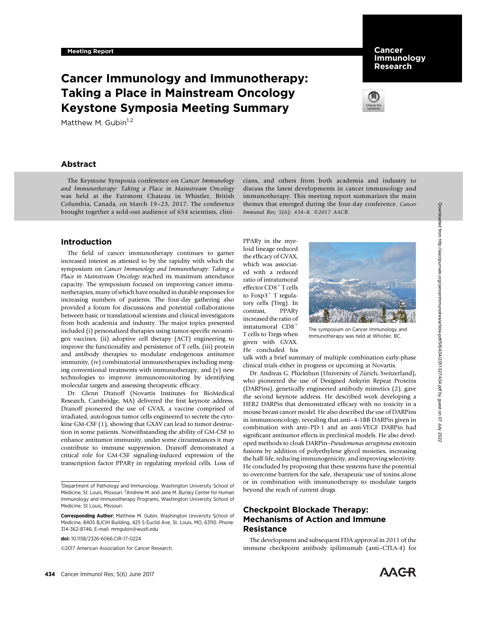# Cancer Immunology and Immunotherapy: Taking a Place in Mainstream Oncology Keystone Symposia Meeting Summary

Matthew M. Gubin $1,2$ 

# Abstract

The Keystone Symposia conference on Cancer Immunology and Immunotherapy: Taking a Place in Mainstream Oncology was held at the Fairmont Chateau in Whistler, British Columbia, Canada, on March 19–23, 2017. The conference brought together a sold-out audience of 654 scientists, clini-

## Introduction

The field of cancer immunotherapy continues to garner increased interest as attested to by the rapidity with which the symposium on Cancer Immunology and Immunotherapy: Taking a Place in Mainstream Oncology reached its maximum attendance capacity. The symposium focused on improving cancer immunotherapies, many of which have resulted in durable responses for increasing numbers of patients. The four-day gathering also provided a forum for discussions and potential collaborations between basic or translational scientists and clinical investigators from both academia and industry. The major topics presented included (i) personalized therapies using tumor-specific neoantigen vaccines, (ii) adoptive cell therapy (ACT) engineering to improve the functionality and persistence of T cells, (iii) protein and antibody therapies to modulate endogenous antitumor immunity, (iv) combinatorial immunotherapies including merging conventional treatments with immunotherapy, and (v) new technologies to improve immunomonitoring by identifying molecular targets and assessing therapeutic efficacy.

Dr. Glenn Dranoff (Novartis Institutes for BioMedical Research, Cambridge, MA) delivered the first keynote address. Dranoff pioneered the use of GVAX, a vaccine comprised of irradiated, autologous tumor cells engineered to secrete the cytokine GM-CSF (1), showing that GXAV can lead to tumor destruction in some patients. Notwithstanding the ability of GM-CSF to enhance antitumor immunity, under some circumstances it may contribute to immune suppression. Dranoff demonstrated a critical role for GM-CSF signaling-induced expression of the transcription factor PPARg in regulating myeloid cells. Loss of

doi: 10.1158/2326-6066.CIR-17-0224

2017 American Association for Cancer Research.

#### **Cancer** Immunology Research



cians, and others from both academia and industry to discuss the latest developments in cancer immunology and immunotherapy. This meeting report summarizes the main themes that emerged during the four-day conference. Cancer Immunol Res; 5(6); 434-8. 20017 AACR.

PPAR<sub>Y</sub> in the myeloid lineage reduced the efficacy of GVAX, which was associated with a reduced ratio of intratumoral effector  $CD8<sup>+</sup>$ T cells to Foxp $3^+$  T regulatory cells (Treg). In contrast, PPARg increased the ratio of intratumoral  $CD8<sup>+</sup>$ T cells to Tregs when given with GVAX. He concluded his



The symposium on Cancer Immunology and Immunotherapy was held at Whistler, BC.

talk with a brief summary of multiple combination early-phase clinical trials either in progress or upcoming at Novartis.

Dr. Andreas G. Plückthun (University of Zürich, Switzerland), who pioneered the use of Designed Ankyrin Repeat Proteins (DARPins), genetically engineered antibody mimetics (2), gave the second keynote address. He described work developing a HER2 DARPin that demonstrated efficacy with no toxicity in a mouse breast cancer model. He also described the use of DARPins in immunooncology, revealing that anti–4-1BB DARPin given in combination with anti–PD-1 and an anti-VEGF DARPin had significant antitumor effects in preclinical models. He also developed methods to cloak DARPin–Pseudomonas aeruginosa exotoxin fusions by addition of polyethylene glycol moieties, increasing the half-life, reducing immunogenicity, and improving selectivity. He concluded by proposing that these systems have the potential to overcome barriers for the safe, therapeutic use of toxins alone or in combination with immunotherapy to modulate targets beyond the reach of current drugs.

# Checkpoint Blockade Therapy: Mechanisms of Action and Immune Resistance

The development and subsequent FDA approval in 2011 of the immune checkpoint antibody ipilimumab (anti–CTLA-4) for



<sup>&</sup>lt;sup>1</sup>Department of Pathology and Immunology, Washington University School of Medicine, St. Louis, Missouri. <sup>2</sup>Andrew M. and Jane M. Bursky Center for Human Immunology and Immunotherapy Programs, Washington University School of Medicine, St Louis, Missouri.

Corresponding Author: Matthew M. Gubin, Washington University School of Medicine, 8405 BJCIH Building, 425 S Euclid Ave, St. Louis, MO, 63110. Phone: 314-362-8746; E-mail: mmgubin@wustl.edu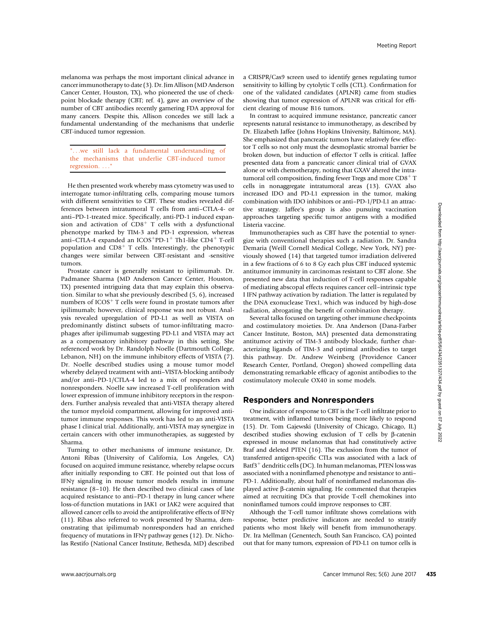melanoma was perhaps the most important clinical advance in cancer immunotherapy to date (3). Dr. Jim Allison (MD Anderson Cancer Center, Houston, TX), who pioneered the use of checkpoint blockade therapy (CBT; ref. 4), gave an overview of the number of CBT antibodies recently garnering FDA approval for many cancers. Despite this, Allison concedes we still lack a fundamental understanding of the mechanisms that underlie CBT-induced tumor regression.

"...we still lack a fundamental understanding of the mechanisms that underlie CBT-induced tumor regression. . . .

He then presented work whereby mass cytometry was used to interrogate tumor-infiltrating cells, comparing mouse tumors with different sensitivities to CBT. These studies revealed differences between intratumoral T cells from anti–CTLA-4- or anti–PD-1-treated mice. Specifically, anti-PD-1 induced expansion and activation of  $CD8<sup>+</sup>$  T cells with a dysfunctional phenotype marked by TIM-3 and PD-1 expression, whereas anti-CTLA-4 expanded an  $ICOS$ <sup>+</sup>PD-1<sup>+</sup> Th1-like CD4<sup>+</sup> T-cell population and  $CD8<sup>+</sup>$  T cells. Interestingly, the phenotypic changes were similar between CBT-resistant and -sensitive tumors.

Prostate cancer is generally resistant to ipilimumab. Dr. Padmanee Sharma (MD Anderson Cancer Center, Houston, TX) presented intriguing data that may explain this observation. Similar to what she previously described (5, 6), increased numbers of  $ICOS<sup>+</sup> T$  cells were found in prostate tumors after ipilimumab; however, clinical response was not robust. Analysis revealed upregulation of PD-L1 as well as VISTA on predominantly distinct subsets of tumor-infiltrating macrophages after ipilimumab suggesting PD-L1 and VISTA may act as a compensatory inhibitory pathway in this setting. She referenced work by Dr. Randolph Noelle (Dartmouth College, Lebanon, NH) on the immune inhibitory effects of VISTA (7). Dr. Noelle described studies using a mouse tumor model whereby delayed treatment with anti–VISTA-blocking antibody and/or anti–PD-1/CTLA-4 led to a mix of responders and nonresponders. Noelle saw increased T-cell proliferation with lower expression of immune inhibitory receptors in the responders. Further analysis revealed that anti-VISTA therapy altered the tumor myeloid compartment, allowing for improved antitumor immune responses. This work has led to an anti-VISTA phase I clinical trial. Additionally, anti-VISTA may synergize in certain cancers with other immunotherapies, as suggested by Sharma.

Turning to other mechanisms of immune resistance, Dr. Antoni Ribas (University of California, Los Angeles, CA) focused on acquired immune resistance, whereby relapse occurs after initially responding to CBT. He pointed out that loss of IFNg signaling in mouse tumor models results in immune resistance (8–10). He then described two clinical cases of late acquired resistance to anti–PD-1 therapy in lung cancer where loss-of-function mutations in JAK1 or JAK2 were acquired that allowed cancer cells to avoid the antiproliferative effects of IFNy (11). Ribas also referred to work presented by Sharma, demonstrating that ipilimumab nonresponders had an enriched frequency of mutations in IFNg pathway genes (12). Dr. Nicholas Restifo (National Cancer Institute, Bethesda, MD) described a CRISPR/Cas9 screen used to identify genes regulating tumor sensitivity to killing by cytolytic T cells (CTL). Confirmation for one of the validated candidates (APLNR) came from studies showing that tumor expression of APLNR was critical for efficient clearing of mouse B16 tumors.

In contrast to acquired immune resistance, pancreatic cancer represents natural resistance to immunotherapy, as described by Dr. Elizabeth Jaffee (Johns Hopkins University, Baltimore, MA). She emphasized that pancreatic tumors have relatively few effector T cells so not only must the desmoplastic stromal barrier be broken down, but induction of effector T cells is critical. Jaffee presented data from a pancreatic cancer clinical trial of GVAX alone or with chemotherapy, noting that GXAV altered the intratumoral cell composition, finding fewer Tregs and more  $CD8<sup>+</sup> T$ cells in nonaggregate intratumoral areas (13). GVAX also increased IDO and PD-L1 expression in the tumor, making combination with IDO inhibitors or anti–PD-1/PD-L1 an attractive strategy. Jaffee's group is also pursuing vaccination approaches targeting specific tumor antigens with a modified Listeria vaccine.

Immunotherapies such as CBT have the potential to synergize with conventional therapies such a radiation. Dr. Sandra Demaria (Weill Cornell Medical College, New York, NY) previously showed (14) that targeted tumor irradiation delivered in a few fractions of 6 to 8 Gy each plus CBT induced systemic antitumor immunity in carcinomas resistant to CBT alone. She presented new data that induction of T-cell responses capable of mediating abscopal effects requires cancer cell–intrinsic type I IFN pathway activation by radiation. The latter is regulated by the DNA exonuclease Trex1, which was induced by high-dose radiation, abrogating the benefit of combination therapy.

Several talks focused on targeting other immune checkpoints and costimulatory moieties. Dr. Ana Anderson (Dana-Farber Cancer Institute, Boston, MA) presented data demonstrating antitumor activity of TIM-3 antibody blockade, further characterizing ligands of TIM-3 and optimal antibodies to target this pathway. Dr. Andrew Weinberg (Providence Cancer Research Center, Portland, Oregon) showed compelling data demonstrating remarkable efficacy of agonist antibodies to the costimulatory molecule OX40 in some models.

#### Responders and Nonresponders

One indicator of response to CBT is the T-cell infiltrate prior to treatment, with inflamed tumors being more likely to respond (15). Dr. Tom Gajewski (University of Chicago, Chicago, IL) described studies showing exclusion of  $T$  cells by  $\beta$ -catenin expressed in mouse melanomas that had constitutively active Braf and deleted PTEN (16). The exclusion from the tumor of transferred antigen-specific CTLs was associated with a lack of Batf $3^+$  dendritic cells (DC). In human melanomas, PTEN loss was associated with a noninflamed phenotype and resistance to anti– PD-1. Additionally, about half of noninflamed melanomas displayed active b-catenin signaling. He commented that therapies aimed at recruiting DCs that provide T-cell chemokines into noninflamed tumors could improve responses to CBT.

Although the T-cell tumor infiltrate shows correlations with response, better predictive indicators are needed to stratify patients who most likely will benefit from immunotherapy. Dr. Ira Mellman (Genentech, South San Francisco, CA) pointed out that for many tumors, expression of PD-L1 on tumor cells is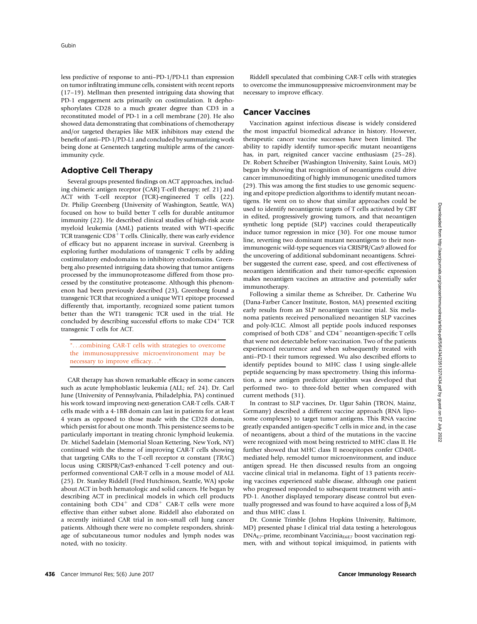less predictive of response to anti–PD-1/PD-L1 than expression on tumor infiltrating immune cells, consistent with recent reports (17–19). Mellman then presented intriguing data showing that PD-1 engagement acts primarily on costimulation. It dephosphorylates CD28 to a much greater degree than CD3 in a reconstituted model of PD-1 in a cell membrane (20). He also showed data demonstrating that combinations of chemotherapy and/or targeted therapies like MEK inhibitors may extend the benefit of anti–PD-1/PD-L1 and concluded by summarizing work being done at Genentech targeting multiple arms of the cancerimmunity cycle.

### Adoptive Cell Therapy

Several groups presented findings on ACT approaches, including chimeric antigen receptor (CAR) T-cell therapy; ref. 21) and ACT with T-cell receptor (TCR)-engineered T cells (22). Dr. Philip Greenberg (University of Washington, Seattle, WA) focused on how to build better T cells for durable antitumor immunity (22). He described clinical studies of high-risk acute myeloid leukemia (AML) patients treated with WT1-specific TCR transgenic  $\rm{CD8^{+}T}$  cells. Clinically, there was early evidence of efficacy but no apparent increase in survival. Greenberg is exploring further modulations of transgenic T cells by adding costimulatory endodomains to inhibitory ectodomains. Greenberg also presented intriguing data showing that tumor antigens processed by the immunoproteasome differed from those processed by the constitutive proteasome. Although this phenomenon had been previously described (23), Greenberg found a transgenic TCR that recognized a unique WT1 epitope processed differently that, importantly, recognized some patient tumors better than the WT1 transgenic TCR used in the trial. He concluded by describing successful efforts to make  $CD4^+$  TCR transgenic T cells for ACT.

"...combining CAR-T cells with strategies to overcome the immunosuppressive microenvironoment may be necessary to improve efficacy..."

CAR therapy has shown remarkable efficacy in some cancers such as acute lymphoblastic leukemia (ALL; ref. 24). Dr. Carl June (University of Pennsylvania, Philadelphia, PA) continued his work toward improving next-generation CAR-T cells. CAR-T cells made with a 4-1BB domain can last in patients for at least 4 years as opposed to those made with the CD28 domain, which persist for about one month. This persistence seems to be particularly important in treating chronic lymphoid leukemia. Dr. Michel Sadelain (Memorial Sloan Kettering, New York, NY) continued with the theme of improving CAR-T cells showing that targeting CARs to the T-cell receptor  $\alpha$  constant (TRAC) locus using CRISPR/Cas9-enhanced T-cell potency and outperformed conventional CAR-T cells in a mouse model of ALL (25). Dr. Stanley Riddell (Fred Hutchinson, Seattle, WA) spoke about ACT in both hematologic and solid cancers. He began by describing ACT in preclinical models in which cell products containing both  $CD4^+$  and  $CD8^+$  CAR-T cells were more effective than either subset alone. Riddell also elaborated on a recently initiated CAR trial in non–small cell lung cancer patients. Although there were no complete responders, shrinkage of subcutaneous tumor nodules and lymph nodes was noted, with no toxicity.

Riddell speculated that combining CAR-T cells with strategies to overcome the immunosuppressive microenvironment may be necessary to improve efficacy.

## Cancer Vaccines

Vaccination against infectious disease is widely considered the most impactful biomedical advance in history. However, therapeutic cancer vaccine successes have been limited. The ability to rapidly identify tumor-specific mutant neoantigens has, in part, reignited cancer vaccine enthusiasm (25-28). Dr. Robert Schreiber (Washington University, Saint Louis, MO) began by showing that recognition of neoantigens could drive cancer immunoediting of highly immunogenic unedited tumors (29). This was among the first studies to use genomic sequencing and epitope prediction algorithms to identify mutant neoantigens. He went on to show that similar approaches could be used to identify neoantigenic targets of T cells activated by CBT in edited, progressively growing tumors, and that neoantigen synthetic long peptide (SLP) vaccines could therapeutically induce tumor regression in mice (30). For one mouse tumor line, reverting two dominant mutant neoantigens to their nonimmunogenic wild-type sequences via CRISPR/Cas9 allowed for the uncovering of additional subdominant neoantigens. Schreiber suggested the current ease, speed, and cost effectiveness of neoantigen identification and their tumor-specific expression makes neoantigen vaccines an attractive and potentially safer immunotherapy.

Following a similar theme as Schreiber, Dr. Catherine Wu (Dana-Farber Cancer Institute, Boston, MA) presented exciting early results from an SLP neoantigen vaccine trial. Six melanoma patients received personalized neoantigen SLP vaccines and poly-ICLC. Almost all peptide pools induced responses comprised of both  $CD8^+$  and  $CD4^+$  neoantigen-specific T cells that were not detectable before vaccination. Two of the patients experienced recurrence and when subsequently treated with anti–PD-1 their tumors regressed. Wu also described efforts to identify peptides bound to MHC class I using single-allele peptide sequencing by mass spectrometry. Using this information, a new antigen predictor algorithm was developed that performed two- to three-fold better when compared with current methods (31).

In contrast to SLP vaccines, Dr. Ugur Sahin (TRON, Mainz, Germany) described a different vaccine approach (RNA liposome complexes) to target tumor antigens. This RNA vaccine greatly expanded antigen-specific T cells in mice and, in the case of neoantigens, about a third of the mutations in the vaccine were recognized with most being restricted to MHC class II. He further showed that MHC class II neoepitopes confer CD40Lmediated help, remodel tumor microenvironment, and induce antigen spread. He then discussed results from an ongoing vaccine clinical trial in melanoma. Eight of 13 patients receiving vaccines experienced stable disease, although one patient who progressed responded to subsequent treatment with anti– PD-1. Another displayed temporary disease control but eventually progressed and was found to have acquired a loss of  $\beta_2M$ and thus MHC class I.

Dr. Connie Trimble (Johns Hopkins University, Baltimore, MD) presented phase I clinical trial data testing a heterologous  $DNA<sub>E7</sub>-prime, recombination  
14 Vaccinia<sub>E6E7</sub> boost vaccination regi$ men, with and without topical imiquimod, in patients with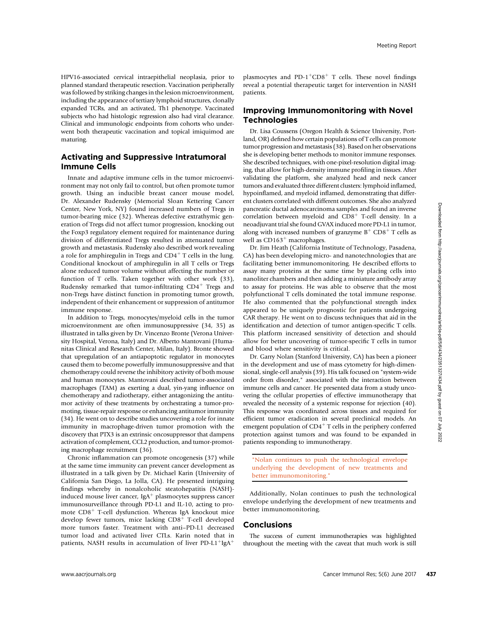HPV16-associated cervical intraepithelial neoplasia, prior to planned standard therapeutic resection. Vaccination peripherally was followed by striking changes in the lesion microenvironment, including the appearance of tertiary lymphoid structures, clonally expanded TCRs, and an activated, Th1 phenotype. Vaccinated subjects who had histologic regression also had viral clearance. Clinical and immunologic endpoints from cohorts who underwent both therapeutic vaccination and topical imiquimod are maturing.

# Activating and Suppressive Intratumoral Immune Cells

Innate and adaptive immune cells in the tumor microenvironment may not only fail to control, but often promote tumor growth. Using an inducible breast cancer mouse model, Dr. Alexander Rudensky (Memorial Sloan Kettering Cancer Center, New York, NY) found increased numbers of Tregs in tumor-bearing mice (32). Whereas defective extrathymic generation of Tregs did not affect tumor progression, knocking out the Foxp3 regulatory element required for maintenance during division of differentiated Tregs resulted in attenuated tumor growth and metastasis. Rudensky also described work revealing a role for amphiregulin in Tregs and  $CD4<sup>+</sup>$  T cells in the lung. Conditional knockout of amphiregulin in all T cells or Tregs alone reduced tumor volume without affecting the number or function of T cells. Taken together with other work (33), Rudensky remarked that tumor-infiltrating  $CD4^+$  Tregs and non-Tregs have distinct function in promoting tumor growth, independent of their enhancement or suppression of antitumor immune response.

In addition to Tregs, monocytes/myeloid cells in the tumor microenvironment are often immunosuppressive (34, 35) as illustrated in talks given by Dr. Vincenzo Bronte (Verona University Hospital, Verona, Italy) and Dr. Alberto Mantovani (Humanitas Clinical and Research Center, Milan, Italy). Bronte showed that upregulation of an antiapoptotic regulator in monocytes caused them to become powerfully immunosuppressive and that chemotherapy could reverse the inhibitory activity of both mouse and human monocytes. Mantovani described tumor-associated macrophages (TAM) as exerting a dual, yin-yang influence on chemotherapy and radiotherapy, either antagonizing the antitumor activity of these treatments by orchestrating a tumor-promoting, tissue-repair response or enhancing antitumor immunity (34). He went on to describe studies uncovering a role for innate immunity in macrophage-driven tumor promotion with the discovery that PTX3 is an extrinsic oncosuppressor that dampens activation of complement, CCL2 production, and tumor-promoting macrophage recruitment (36).

Chronic inflammation can promote oncogenesis (37) while at the same time immunity can prevent cancer development as illustrated in a talk given by Dr. Michael Karin (University of California San Diego, La Jolla, CA). He presented intriguing findings whereby in nonalcoholic steatohepatitis (NASH) induced mouse liver cancer, IgA<sup> $+$ </sup> plasmocytes suppress cancer immunosurveillance through PD-L1 and IL-10, acting to promote  $CD8<sup>+</sup>$  T-cell dysfunction. Whereas IgA knockout mice develop fewer tumors, mice lacking  $CD8<sup>+</sup>$  T-cell developed more tumors faster. Treatment with anti–PD-L1 decreased tumor load and activated liver CTLs. Karin noted that in patients, NASH results in accumulation of liver PD-L1<sup>+</sup>IgA<sup>+</sup>

plasmocytes and PD-1<sup>+</sup>CD8<sup>+</sup> T cells. These novel findings reveal a potential therapeutic target for intervention in NASH patients.

# Improving Immunomonitoring with Novel **Technologies**

Dr. Lisa Coussens (Oregon Health & Science University, Portland, OR) defined how certain populations of T cells can promote tumor progression and metastasis (38). Based on her observations she is developing better methods to monitor immune responses. She described techniques, with one-pixel-resolution digital imaging, that allow for high-density immune profiling in tissues. After validating the platform, she analyzed head and neck cancer tumors and evaluated three different clusters: lymphoid inflamed, hypoinflamed, and myeloid inflamed, demonstrating that different clusters correlated with different outcomes. She also analyzed pancreatic ductal adenocarcinoma samples and found an inverse correlation between myeloid and  $CD8<sup>+</sup>$  T-cell density. In a neoadjuvant trial she found GVAX induced more PD-L1 in tumor, along with increased numbers of granzyme  $B^+$  CD8<sup>+</sup> T cells as well as  $CD163<sup>+</sup>$  macrophages.

Dr. Jim Heath (California Institute of Technology, Pasadena, CA) has been developing micro- and nanotechnologies that are facilitating better immunomonitoring. He described efforts to assay many proteins at the same time by placing cells into nanoliter chambers and then adding a miniature antibody array to assay for proteins. He was able to observe that the most polyfunctional T cells dominated the total immune response. He also commented that the polyfunctional strength index appeared to be uniquely prognostic for patients undergoing CAR therapy. He went on to discuss techniques that aid in the identification and detection of tumor antigen-specific T cells. This platform increased sensitivity of detection and should allow for better uncovering of tumor-specific T cells in tumor and blood where sensitivity is critical.

Dr. Garry Nolan (Stanford University, CA) has been a pioneer in the development and use of mass cytometry for high-dimensional, single-cell analysis (39). His talk focused on "system-wide order from disorder," associated with the interaction between immune cells and cancer. He presented data from a study uncovering the cellular properties of effective immunotherapy that revealed the necessity of a systemic response for rejection (40). This response was coordinated across tissues and required for efficient tumor eradication in several preclinical models. An emergent population of  $CD4^+$  T cells in the periphery conferred protection against tumors and was found to be expanded in patients responding to immunotherapy.

"Nolan continues to push the technological envelope underlying the development of new treatments and better immunomonitoring."

Additionally, Nolan continues to push the technological envelope underlying the development of new treatments and better immunomonitoring.

#### Conclusions

The success of current immunotherapies was highlighted throughout the meeting with the caveat that much work is still